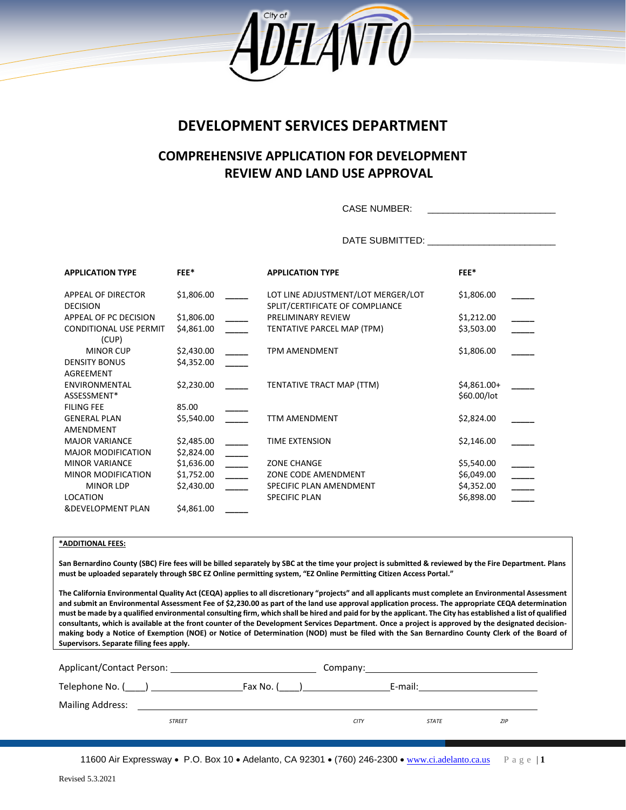

# **DEVELOPMENT SERVICES DEPARTMENT**

# **COMPREHENSIVE APPLICATION FOR DEVELOPMENT REVIEW AND LAND USE APPROVAL**

CASE NUMBER:

DATE SUBMITTED: \_\_\_\_\_\_\_\_\_\_\_\_\_\_\_\_\_\_\_\_\_\_\_\_\_

| <b>APPLICATION TYPE</b>                | <b>FEE*</b> | <b>APPLICATION TYPE</b>                                               | <b>FEE*</b>  |
|----------------------------------------|-------------|-----------------------------------------------------------------------|--------------|
| APPEAL OF DIRECTOR<br><b>DECISION</b>  | \$1,806.00  | LOT LINE ADJUSTMENT/LOT MERGER/LOT<br>SPLIT/CERTIFICATE OF COMPLIANCE | \$1,806.00   |
| APPEAL OF PC DECISION                  | \$1,806.00  | PRELIMINARY REVIEW                                                    | \$1,212.00   |
| <b>CONDITIONAL USE PERMIT</b><br>(CUP) | \$4,861.00  | TENTATIVE PARCEL MAP (TPM)                                            | \$3,503.00   |
| <b>MINOR CUP</b>                       | \$2,430.00  | <b>TPM AMENDMENT</b>                                                  | \$1,806.00   |
| <b>DENSITY BONUS</b>                   | \$4,352.00  |                                                                       |              |
| AGREEMENT                              |             |                                                                       |              |
| ENVIRONMENTAL                          | \$2,230.00  | TENTATIVE TRACT MAP (TTM)                                             | $$4,861.00+$ |
| ASSESSMENT*                            |             |                                                                       | \$60.00/lot  |
| <b>FILING FEE</b>                      | 85.00       |                                                                       |              |
| <b>GENERAL PLAN</b>                    | \$5,540.00  | <b>TTM AMENDMENT</b>                                                  | \$2,824.00   |
| AMENDMENT                              |             |                                                                       |              |
| <b>MAJOR VARIANCE</b>                  | \$2,485.00  | <b>TIME EXTENSION</b>                                                 | \$2,146.00   |
| <b>MAJOR MODIFICATION</b>              | \$2,824.00  |                                                                       |              |
| <b>MINOR VARIANCE</b>                  | \$1,636.00  | <b>ZONE CHANGE</b>                                                    | \$5,540.00   |
| <b>MINOR MODIFICATION</b>              | \$1,752.00  | ZONE CODE AMENDMENT                                                   | \$6,049.00   |
| <b>MINOR LDP</b>                       | \$2,430.00  | SPECIFIC PLAN AMENDMENT                                               | \$4,352.00   |
| LOCATION                               |             | <b>SPECIFIC PLAN</b>                                                  | \$6,898.00   |
| <b>&amp;DEVELOPMENT PLAN</b>           | \$4,861.00  |                                                                       |              |

## **\*ADDITIONAL FEES:**

**San Bernardino County (SBC) Fire fees will be billed separately by SBC at the time your project is submitted & reviewed by the Fire Department. Plans must be uploaded separately through SBC EZ Online permitting system, "EZ Online Permitting Citizen Access Portal."** 

**The California Environmental Quality Act (CEQA) applies to all discretionary "projects" and all applicants must complete an Environmental Assessment and submit an Environmental Assessment Fee of \$2,230.00 as part of the land use approval application process. The appropriate CEQA determination must be made by a qualified environmental consulting firm, which shall be hired and paid for by the applicant. The City has established a list of qualified consultants, which is available at the front counter of the Development Services Department. Once a project is approved by the designated decisionmaking body a Notice of Exemption (NOE) or Notice of Determination (NOD) must be filed with the San Bernardino County Clerk of the Board of Supervisors. Separate filing fees apply.** 

| Applicant/Contact Person: |               |           | Company:    |              |     |
|---------------------------|---------------|-----------|-------------|--------------|-----|
| Telephone No. ( )         |               | Fax No. ( |             | E-mail:      |     |
| <b>Mailing Address:</b>   |               |           |             |              |     |
|                           | <b>STREET</b> |           | <b>CITY</b> | <b>STATE</b> | ZIP |
|                           |               |           |             |              |     |

11600 Air Expressway • P.O. Box 10 • Adelanto, CA 92301 • (760) 246-2300 • [www.ci.adelanto.ca.us](http://www.ci.adelanto.ca.us/) P a g e | **1**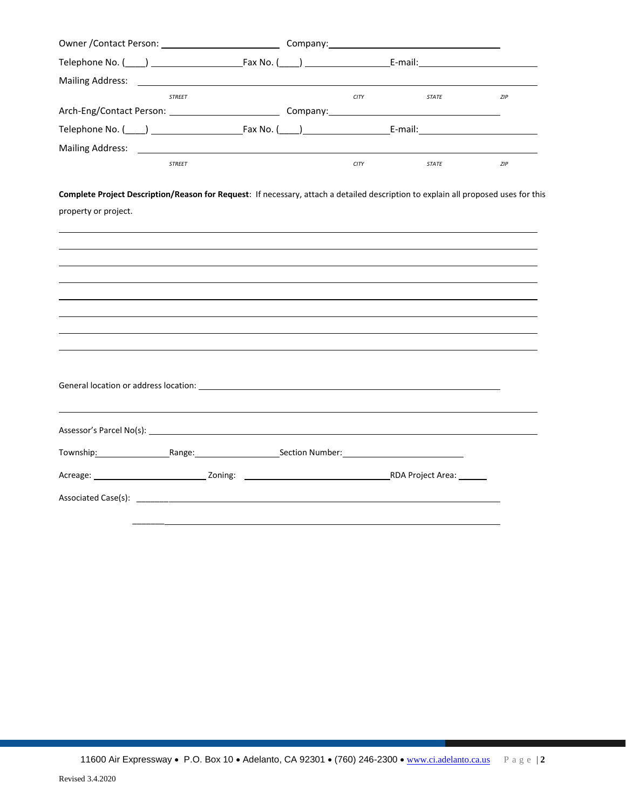| Telephone No. (120) 2022 [2012 [2012   2022 [2012   2022   2022   2022   2022   2022   2022   2022   2022   20                                             |               |  |             |              |     |
|------------------------------------------------------------------------------------------------------------------------------------------------------------|---------------|--|-------------|--------------|-----|
| Mailing Address: <u>Communications</u> and Communications and Communications and Communications and Communications and                                     |               |  |             |              |     |
|                                                                                                                                                            | <b>STREET</b> |  | <b>CITY</b> | STATE        | ZIP |
|                                                                                                                                                            |               |  |             |              |     |
|                                                                                                                                                            |               |  |             |              |     |
|                                                                                                                                                            |               |  |             |              |     |
|                                                                                                                                                            | <b>STREET</b> |  | <b>CITY</b> | <b>STATE</b> | ZIP |
| Complete Project Description/Reason for Request: If necessary, attach a detailed description to explain all proposed uses for this<br>property or project. |               |  |             |              |     |
|                                                                                                                                                            |               |  |             |              |     |
|                                                                                                                                                            |               |  |             |              |     |
|                                                                                                                                                            |               |  |             |              |     |
|                                                                                                                                                            |               |  |             |              |     |
|                                                                                                                                                            |               |  |             |              |     |
|                                                                                                                                                            |               |  |             |              |     |
|                                                                                                                                                            |               |  |             |              |     |
|                                                                                                                                                            |               |  |             |              |     |
|                                                                                                                                                            |               |  |             |              |     |
|                                                                                                                                                            |               |  |             |              |     |
|                                                                                                                                                            |               |  |             |              |     |
|                                                                                                                                                            |               |  |             |              |     |
| Township: Township: Range: Range: Section Number: Township: Number: The Manus Rection Number:                                                              |               |  |             |              |     |
|                                                                                                                                                            |               |  |             |              |     |
| Associated Case(s): Associated Case(s):                                                                                                                    |               |  |             |              |     |
|                                                                                                                                                            |               |  |             |              |     |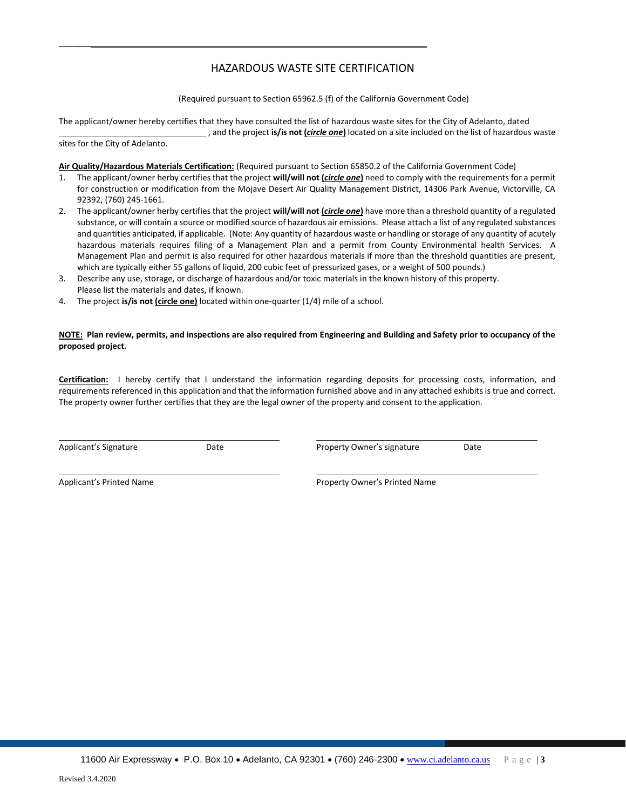## HAZARDOUS WASTE SITE CERTIFICATION

(Required pursuant to Section 65962.5 (f) of the California Government Code)

The applicant/owner hereby certifies that they have consulted the list of hazardous waste sites for the City of Adelanto, dated , and the project **is/is not (***circle one***)** located on a site included on the list of hazardous waste

sites for the City of Adelanto.

 $\overline{\phantom{a}}$ 

**Air Quality/Hazardous Materials Certification:** (Required pursuant to Section 65850.2 of the California Government Code)

- 1. The applicant/owner herby certifies that the project **will/will not (***circle one***)** need to comply with the requirements for a permit for construction or modification from the Mojave Desert Air Quality Management District, 14306 Park Avenue, Victorville, CA 92392, (760) 245-1661.
- 2. The applicant/owner herby certifies that the project **will/will not (***circle one***)** have more than a threshold quantity of a regulated substance, or will contain a source or modified source of hazardous air emissions. Please attach a list of any regulated substances and quantities anticipated, if applicable. (Note: Any quantity of hazardous waste or handling or storage of any quantity of acutely hazardous materials requires filing of a Management Plan and a permit from County Environmental health Services. A Management Plan and permit is also required for other hazardous materials if more than the threshold quantities are present, which are typically either 55 gallons of liquid, 200 cubic feet of pressurized gases, or a weight of 500 pounds.)
- 3. Describe any use, storage, or discharge of hazardous and/or toxic materials in the known history of this property. Please list the materials and dates, if known.
- 4. The project **is/is not (circle one)** located within one-quarter (1/4) mile of a school.

#### **NOTE: Plan review, permits, and inspections are also required from Engineering and Building and Safety prior to occupancy of the proposed project.**

**Certification:** I hereby certify that I understand the information regarding deposits for processing costs, information, and requirements referenced in this application and that the information furnished above and in any attached exhibits is true and correct. The property owner further certifies that they are the legal owner of the property and consent to the application.

Applicant's Signature Date Property Owner's signature Date

Applicant's Printed Name **Applicant's Printed Name** Property Owner's Printed Name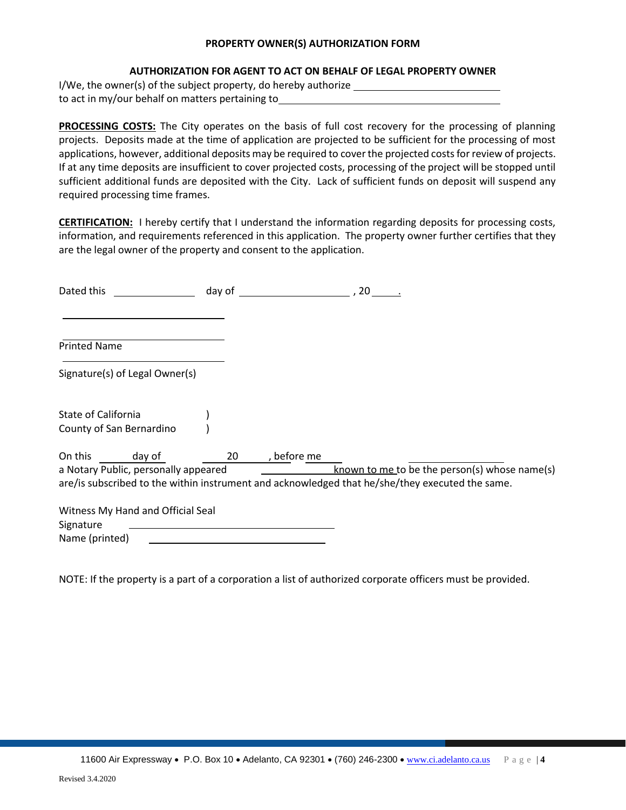## **PROPERTY OWNER(S) AUTHORIZATION FORM**

## **AUTHORIZATION FOR AGENT TO ACT ON BEHALF OF LEGAL PROPERTY OWNER**

I/We, the owner(s) of the subject property, do hereby authorize to act in my/our behalf on matters pertaining to

**PROCESSING COSTS:** The City operates on the basis of full cost recovery for the processing of planning projects. Deposits made at the time of application are projected to be sufficient for the processing of most applications, however, additional deposits may be required to cover the projected costs for review of projects. If at any time deposits are insufficient to cover projected costs, processing of the project will be stopped until sufficient additional funds are deposited with the City. Lack of sufficient funds on deposit will suspend any required processing time frames.

**CERTIFICATION:** I hereby certify that I understand the information regarding deposits for processing costs, information, and requirements referenced in this application. The property owner further certifies that they are the legal owner of the property and consent to the application.

| Dated this          |                                      | day of |             | , 20                                                                                            |
|---------------------|--------------------------------------|--------|-------------|-------------------------------------------------------------------------------------------------|
|                     |                                      |        |             |                                                                                                 |
| <b>Printed Name</b> |                                      |        |             |                                                                                                 |
|                     | Signature(s) of Legal Owner(s)       |        |             |                                                                                                 |
| State of California | County of San Bernardino             |        |             |                                                                                                 |
| On this             | day of                               | 20     | , before me |                                                                                                 |
|                     | a Notary Public, personally appeared |        |             | known to me to be the person(s) whose name(s)                                                   |
|                     |                                      |        |             | are/is subscribed to the within instrument and acknowledged that he/she/they executed the same. |
|                     | Witness My Hand and Official Seal    |        |             |                                                                                                 |
| Signature           |                                      |        |             |                                                                                                 |
| Name (printed)      |                                      |        |             |                                                                                                 |

NOTE: If the property is a part of a corporation a list of authorized corporate officers must be provided.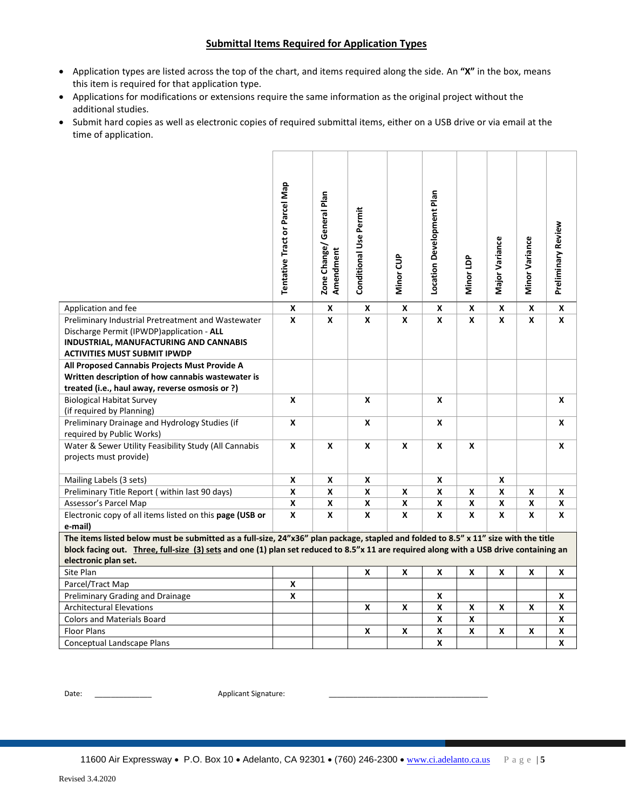## **Submittal Items Required for Application Types**

- Application types are listed across the top of the chart, and items required along the side. An **"X"** in the box, means this item is required for that application type.
- Applications for modifications or extensions require the same information as the original project without the additional studies.
- Submit hard copies as well as electronic copies of required submittal items, either on a USB drive or via email at the time of application.

|                                                                                                                                                                                                                                                                               | <b>Tentative Tract or Parcel Map</b> | Zone Change/ General Plan<br>Amendment | <b>Conditional Use Permit</b> | Minor CUP | Location Development Plan | Minor LDP          | Major Variance     | Minor Variance     | <b>Preliminary Review</b> |
|-------------------------------------------------------------------------------------------------------------------------------------------------------------------------------------------------------------------------------------------------------------------------------|--------------------------------------|----------------------------------------|-------------------------------|-----------|---------------------------|--------------------|--------------------|--------------------|---------------------------|
| Application and fee                                                                                                                                                                                                                                                           | X                                    | X                                      | X                             | X         | X                         | X                  | X                  | $\pmb{\mathsf{X}}$ | $\pmb{\mathsf{x}}$        |
| Preliminary Industrial Pretreatment and Wastewater<br>Discharge Permit (IPWDP)application - ALL<br>INDUSTRIAL, MANUFACTURING AND CANNABIS<br><b>ACTIVITIES MUST SUBMIT IPWDP</b>                                                                                              | X                                    | X                                      | X                             | X         | X                         | X                  | $\mathbf{x}$       | X                  | X                         |
| All Proposed Cannabis Projects Must Provide A<br>Written description of how cannabis wastewater is<br>treated (i.e., haul away, reverse osmosis or ?)                                                                                                                         |                                      |                                        |                               |           |                           |                    |                    |                    |                           |
|                                                                                                                                                                                                                                                                               | X                                    |                                        | $\pmb{\mathsf{X}}$            |           | $\pmb{\mathsf{x}}$        |                    |                    |                    | X                         |
| <b>Biological Habitat Survey</b><br>(if required by Planning)                                                                                                                                                                                                                 |                                      |                                        |                               |           |                           |                    |                    |                    |                           |
| Preliminary Drainage and Hydrology Studies (if                                                                                                                                                                                                                                | X                                    |                                        | X                             |           | X                         |                    |                    |                    | X                         |
| required by Public Works)                                                                                                                                                                                                                                                     |                                      |                                        |                               |           |                           |                    |                    |                    |                           |
| Water & Sewer Utility Feasibility Study (All Cannabis<br>projects must provide)                                                                                                                                                                                               | X                                    | X                                      | X                             | X         | X                         | X                  |                    |                    | X                         |
| Mailing Labels (3 sets)                                                                                                                                                                                                                                                       | X                                    | X                                      | X                             |           | X                         |                    | X                  |                    |                           |
| Preliminary Title Report (within last 90 days)                                                                                                                                                                                                                                | X                                    | X                                      | X                             | X         | X                         | X                  | X                  | X                  | X                         |
| Assessor's Parcel Map                                                                                                                                                                                                                                                         | $\pmb{\mathsf{X}}$                   | X                                      | $\pmb{\mathsf{x}}$            | X         | X                         | $\pmb{\mathsf{x}}$ | $\pmb{\mathsf{x}}$ | $\pmb{\mathsf{X}}$ | X                         |
| Electronic copy of all items listed on this page (USB or<br>e-mail)                                                                                                                                                                                                           | X                                    | X                                      | X                             | X         | X                         | X                  | X                  | X                  | X                         |
| The items listed below must be submitted as a full-size, 24"x36" plan package, stapled and folded to 8.5" x 11" size with the title<br>block facing out. Three, full-size (3) sets and one (1) plan set reduced to 8.5"x 11 are required along with a USB drive containing an |                                      |                                        |                               |           |                           |                    |                    |                    |                           |
| electronic plan set.                                                                                                                                                                                                                                                          |                                      |                                        |                               |           |                           |                    |                    |                    |                           |
| Site Plan                                                                                                                                                                                                                                                                     |                                      |                                        | X                             | X         | X                         | X                  | X                  | X                  | X                         |
| Parcel/Tract Map                                                                                                                                                                                                                                                              | X                                    |                                        |                               |           |                           |                    |                    |                    |                           |
| Preliminary Grading and Drainage                                                                                                                                                                                                                                              | X                                    |                                        |                               |           | X                         |                    |                    |                    | X                         |
| <b>Architectural Elevations</b>                                                                                                                                                                                                                                               |                                      |                                        | X                             | X         | X                         | X                  | X                  | X                  | X                         |
| <b>Colors and Materials Board</b>                                                                                                                                                                                                                                             |                                      |                                        |                               |           | $\mathbf x$               | $\pmb{\mathsf{x}}$ |                    |                    | X                         |
| <b>Floor Plans</b>                                                                                                                                                                                                                                                            |                                      |                                        | X                             | X         | $\pmb{\mathsf{x}}$        | X                  | X                  | X                  | $\pmb{\mathsf{x}}$        |
| Conceptual Landscape Plans                                                                                                                                                                                                                                                    |                                      |                                        |                               |           | X                         |                    |                    |                    | X                         |

Date: \_\_\_\_\_\_\_\_\_\_\_\_\_\_ Applicant Signature: \_\_\_\_\_\_\_\_\_\_\_\_\_\_\_\_\_\_\_\_\_\_\_\_\_\_\_\_\_\_\_\_\_\_\_\_\_\_\_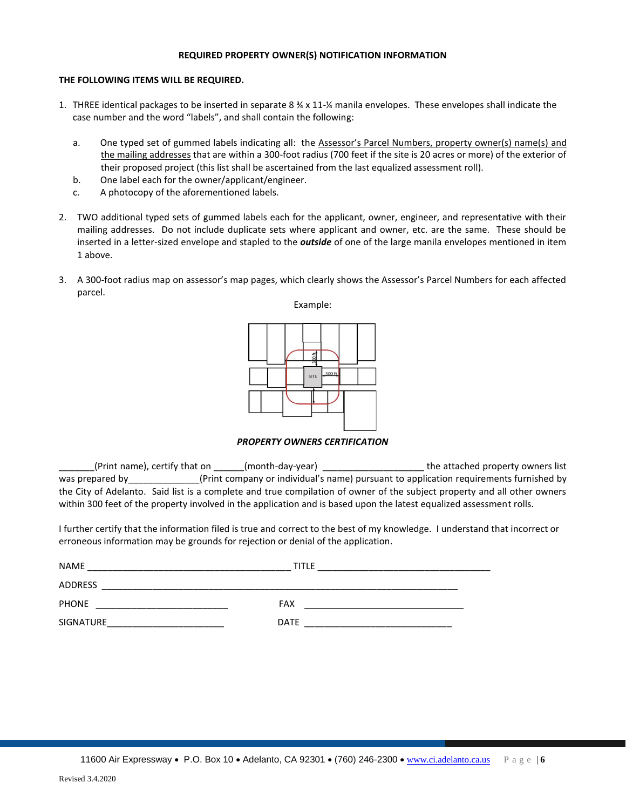## **REQUIRED PROPERTY OWNER(S) NOTIFICATION INFORMATION**

## **THE FOLLOWING ITEMS WILL BE REQUIRED.**

- 1. THREE identical packages to be inserted in separate 8  $\frac{3}{4} \times 11 \frac{1}{4}$  manila envelopes. These envelopes shall indicate the case number and the word "labels", and shall contain the following:
	- a. One typed set of gummed labels indicating all: the Assessor's Parcel Numbers, property owner(s) name(s) and the mailing addresses that are within a 300-foot radius (700 feet if the site is 20 acres or more) of the exterior of their proposed project (this list shall be ascertained from the last equalized assessment roll).
	- b. One label each for the owner/applicant/engineer.
	- c. A photocopy of the aforementioned labels.
- 2. TWO additional typed sets of gummed labels each for the applicant, owner, engineer, and representative with their mailing addresses. Do not include duplicate sets where applicant and owner, etc. are the same. These should be inserted in a letter-sized envelope and stapled to the *outside* of one of the large manila envelopes mentioned in item 1 above.
- 3. A 300-foot radius map on assessor's map pages, which clearly shows the Assessor's Parcel Numbers for each affected parcel.



*PROPERTY OWNERS CERTIFICATION*

(Print name), certify that on  $($ month-day-year) and the attached property owners list was prepared by\_\_\_\_\_\_\_\_\_\_\_\_\_(Print company or individual's name) pursuant to application requirements furnished by the City of Adelanto. Said list is a complete and true compilation of owner of the subject property and all other owners within 300 feet of the property involved in the application and is based upon the latest equalized assessment rolls.

I further certify that the information filed is true and correct to the best of my knowledge. I understand that incorrect or erroneous information may be grounds for rejection or denial of the application.

| <b>NAME</b>      | TITLE       |
|------------------|-------------|
| <b>ADDRESS</b>   |             |
| <b>PHONE</b>     | FAX         |
| <b>SIGNATURE</b> | <b>DATE</b> |

11600 Air Expressway • P.O. Box 10 • Adelanto, CA 92301 • (760) 246-2300 • [www.ci.adelanto.ca.us](http://www.ci.adelanto.ca.us/) Page | 6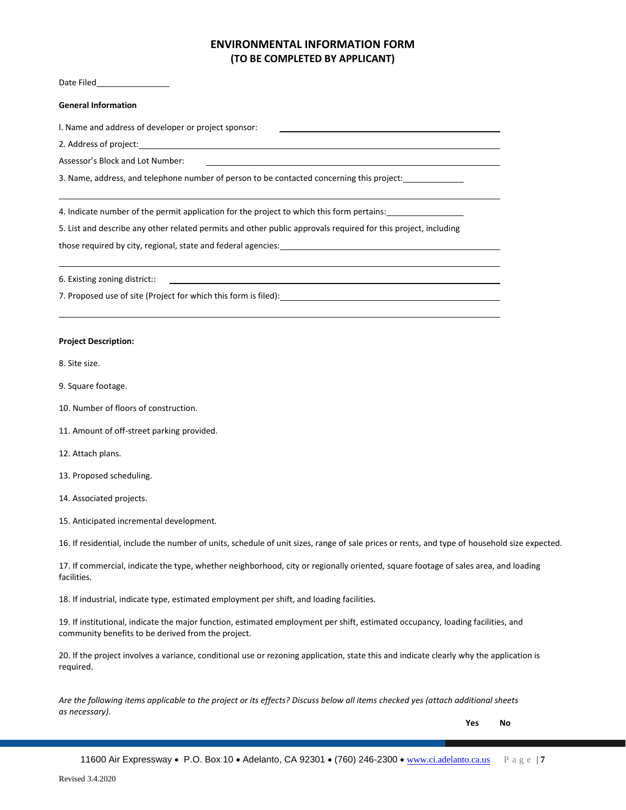## **ENVIRONMENTAL INFORMATION FORM (TO BE COMPLETED BY APPLICANT)**

Date Filed

#### **General Information**

l. Name and address of developer or project sponsor:

2. Address of project:

Assessor's Block and Lot Number:

3. Name, address, and telephone number of person to be contacted concerning this project:

4. Indicate number of the permit application for the project to which this form pertains:

5. List and describe any other related permits and other public approvals required for this project, including

those required by city, regional, state and federal agencies:

6. Existing zoning district::

7. Proposed use of site (Project for which this form is filed):

#### **Project Description:**

8. Site size.

- 9. Square footage.
- 10. Number of floors of construction.
- 11. Amount of off-street parking provided.
- 12. Attach plans.
- 13. Proposed scheduling.
- 14. Associated projects.
- 15. Anticipated incremental development.

16. If residential, include the number of units, schedule of unit sizes, range of sale prices or rents, and type of household size expected.

17. If commercial, indicate the type, whether neighborhood, city or regionally oriented, square footage of sales area, and loading facilities.

18. If industrial, indicate type, estimated employment per shift, and loading facilities.

19. If institutional, indicate the major function, estimated employment per shift, estimated occupancy, loading facilities, and community benefits to be derived from the project.

20. If the project involves a variance, conditional use or rezoning application, state this and indicate clearly why the application is required.

*Are the following items applicable to the project or its effects? Discuss below all items checked yes (attach additional sheets as necessary).*

**Yes No**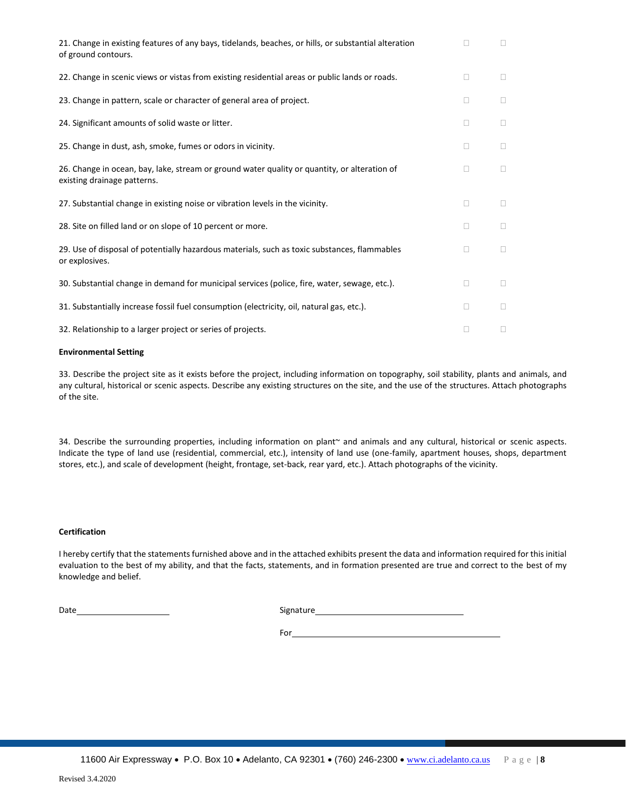| 21. Change in existing features of any bays, tidelands, beaches, or hills, or substantial alteration<br>of ground contours. | П              | П              |
|-----------------------------------------------------------------------------------------------------------------------------|----------------|----------------|
| 22. Change in scenic views or vistas from existing residential areas or public lands or roads.                              | Ш              | □              |
| 23. Change in pattern, scale or character of general area of project.                                                       | □              | □              |
| 24. Significant amounts of solid waste or litter.                                                                           | Ш              | Ш              |
| 25. Change in dust, ash, smoke, fumes or odors in vicinity.                                                                 | Ш              | $\mathbb{R}^n$ |
| 26. Change in ocean, bay, lake, stream or ground water quality or quantity, or alteration of<br>existing drainage patterns. | $\mathbb{R}^n$ | $\mathbb{R}^n$ |
| 27. Substantial change in existing noise or vibration levels in the vicinity.                                               | □              | П              |
| 28. Site on filled land or on slope of 10 percent or more.                                                                  | Ш              | Ш              |
| 29. Use of disposal of potentially hazardous materials, such as toxic substances, flammables<br>or explosives.              | Ш              | П              |
| 30. Substantial change in demand for municipal services (police, fire, water, sewage, etc.).                                | $\Box$         | □              |
| 31. Substantially increase fossil fuel consumption (electricity, oil, natural gas, etc.).                                   | Ш              | Ш              |
| 32. Relationship to a larger project or series of projects.                                                                 | П              | □              |

## **Environmental Setting**

33. Describe the project site as it exists before the project, including information on topography, soil stability, plants and animals, and any cultural, historical or scenic aspects. Describe any existing structures on the site, and the use of the structures. Attach photographs of the site.

34. Describe the surrounding properties, including information on plant~ and animals and any cultural, historical or scenic aspects. Indicate the type of land use (residential, commercial, etc.), intensity of land use (one-family, apartment houses, shops, department stores, etc.), and scale of development (height, frontage, set-back, rear yard, etc.). Attach photographs of the vicinity.

#### **Certification**

I hereby certify that the statements furnished above and in the attached exhibits present the data and information required for this initial evaluation to the best of my ability, and that the facts, statements, and in formation presented are true and correct to the best of my knowledge and belief.

Date **Signature** Signature **Signature Signature Signature Signature Signature Signature Signature Signature Signature Signature Signature Signature Signature Signature Signature Signature Si** 

For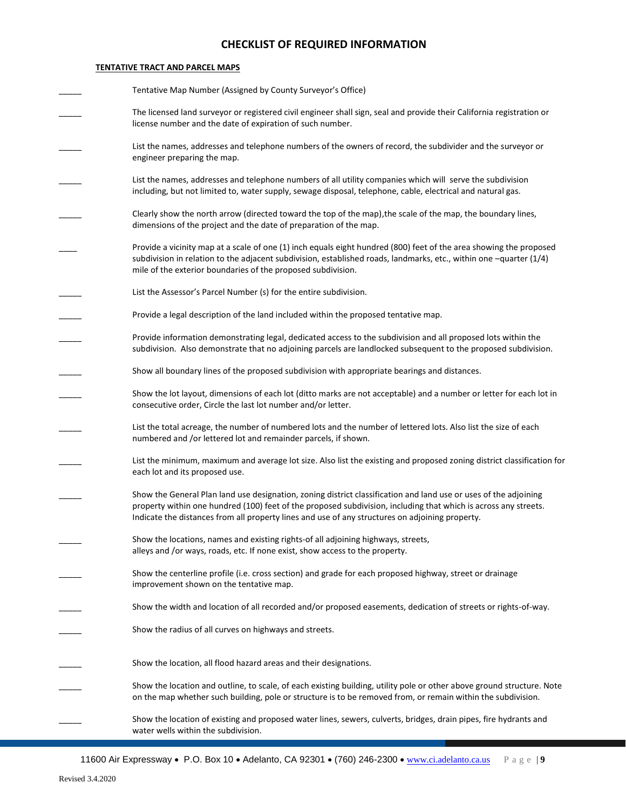## **CHECKLIST OF REQUIRED INFORMATION**

## **TENTATIVE TRACT AND PARCEL MAPS**

| Tentative Map Number (Assigned by County Surveyor's Office)                                                                                                                                                                                                                                                                            |
|----------------------------------------------------------------------------------------------------------------------------------------------------------------------------------------------------------------------------------------------------------------------------------------------------------------------------------------|
| The licensed land surveyor or registered civil engineer shall sign, seal and provide their California registration or<br>license number and the date of expiration of such number.                                                                                                                                                     |
| List the names, addresses and telephone numbers of the owners of record, the subdivider and the surveyor or<br>engineer preparing the map.                                                                                                                                                                                             |
| List the names, addresses and telephone numbers of all utility companies which will serve the subdivision<br>including, but not limited to, water supply, sewage disposal, telephone, cable, electrical and natural gas.                                                                                                               |
| Clearly show the north arrow (directed toward the top of the map), the scale of the map, the boundary lines,<br>dimensions of the project and the date of preparation of the map.                                                                                                                                                      |
| Provide a vicinity map at a scale of one (1) inch equals eight hundred (800) feet of the area showing the proposed<br>subdivision in relation to the adjacent subdivision, established roads, landmarks, etc., within one $-$ quarter (1/4)<br>mile of the exterior boundaries of the proposed subdivision.                            |
| List the Assessor's Parcel Number (s) for the entire subdivision.                                                                                                                                                                                                                                                                      |
| Provide a legal description of the land included within the proposed tentative map.                                                                                                                                                                                                                                                    |
| Provide information demonstrating legal, dedicated access to the subdivision and all proposed lots within the<br>subdivision. Also demonstrate that no adjoining parcels are landlocked subsequent to the proposed subdivision.                                                                                                        |
| Show all boundary lines of the proposed subdivision with appropriate bearings and distances.                                                                                                                                                                                                                                           |
| Show the lot layout, dimensions of each lot (ditto marks are not acceptable) and a number or letter for each lot in<br>consecutive order, Circle the last lot number and/or letter.                                                                                                                                                    |
| List the total acreage, the number of numbered lots and the number of lettered lots. Also list the size of each<br>numbered and /or lettered lot and remainder parcels, if shown.                                                                                                                                                      |
| List the minimum, maximum and average lot size. Also list the existing and proposed zoning district classification for<br>each lot and its proposed use.                                                                                                                                                                               |
| Show the General Plan land use designation, zoning district classification and land use or uses of the adjoining<br>property within one hundred (100) feet of the proposed subdivision, including that which is across any streets.<br>Indicate the distances from all property lines and use of any structures on adjoining property. |
| Show the locations, names and existing rights-of all adjoining highways, streets,<br>alleys and /or ways, roads, etc. If none exist, show access to the property.                                                                                                                                                                      |
| Show the centerline profile (i.e. cross section) and grade for each proposed highway, street or drainage<br>improvement shown on the tentative map.                                                                                                                                                                                    |
| Show the width and location of all recorded and/or proposed easements, dedication of streets or rights-of-way.                                                                                                                                                                                                                         |
| Show the radius of all curves on highways and streets.                                                                                                                                                                                                                                                                                 |
| Show the location, all flood hazard areas and their designations.                                                                                                                                                                                                                                                                      |
| Show the location and outline, to scale, of each existing building, utility pole or other above ground structure. Note<br>on the map whether such building, pole or structure is to be removed from, or remain within the subdivision.                                                                                                 |
| Show the location of existing and proposed water lines, sewers, culverts, bridges, drain pipes, fire hydrants and<br>water wells within the subdivision.                                                                                                                                                                               |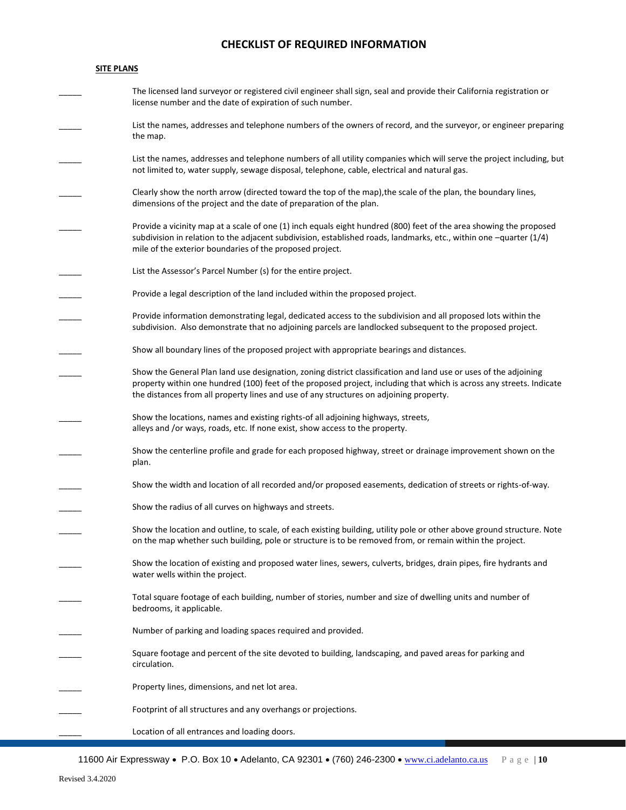## **CHECKLIST OF REQUIRED INFORMATION**

#### **SITE PLANS**

| The licensed land surveyor or registered civil engineer shall sign, seal and provide their California registration or |
|-----------------------------------------------------------------------------------------------------------------------|
| license number and the date of expiration of such number.                                                             |
|                                                                                                                       |

List the names, addresses and telephone numbers of the owners of record, and the surveyor, or engineer preparing the map.

List the names, addresses and telephone numbers of all utility companies which will serve the project including, but not limited to, water supply, sewage disposal, telephone, cable, electrical and natural gas.

Clearly show the north arrow (directed toward the top of the map), the scale of the plan, the boundary lines, dimensions of the project and the date of preparation of the plan.

Provide a vicinity map at a scale of one (1) inch equals eight hundred (800) feet of the area showing the proposed subdivision in relation to the adjacent subdivision, established roads, landmarks, etc., within one –quarter (1/4) mile of the exterior boundaries of the proposed project.

List the Assessor's Parcel Number (s) for the entire project.

Provide a legal description of the land included within the proposed project.

Provide information demonstrating legal, dedicated access to the subdivision and all proposed lots within the subdivision. Also demonstrate that no adjoining parcels are landlocked subsequent to the proposed project.

Show all boundary lines of the proposed project with appropriate bearings and distances.

Show the General Plan land use designation, zoning district classification and land use or uses of the adjoining property within one hundred (100) feet of the proposed project, including that which is across any streets. Indicate the distances from all property lines and use of any structures on adjoining property.

Show the locations, names and existing rights-of all adjoining highways, streets, alleys and /or ways, roads, etc. If none exist, show access to the property.

Show the centerline profile and grade for each proposed highway, street or drainage improvement shown on the plan.

Show the width and location of all recorded and/or proposed easements, dedication of streets or rights-of-way.

Show the radius of all curves on highways and streets.

Show the location and outline, to scale, of each existing building, utility pole or other above ground structure. Note on the map whether such building, pole or structure is to be removed from, or remain within the project.

Show the location of existing and proposed water lines, sewers, culverts, bridges, drain pipes, fire hydrants and water wells within the project.

\_\_\_\_\_ Total square footage of each building, number of stories, number and size of dwelling units and number of bedrooms, it applicable.

Number of parking and loading spaces required and provided.

Square footage and percent of the site devoted to building, landscaping, and paved areas for parking and circulation.

Property lines, dimensions, and net lot area.

Footprint of all structures and any overhangs or projections.

Location of all entrances and loading doors.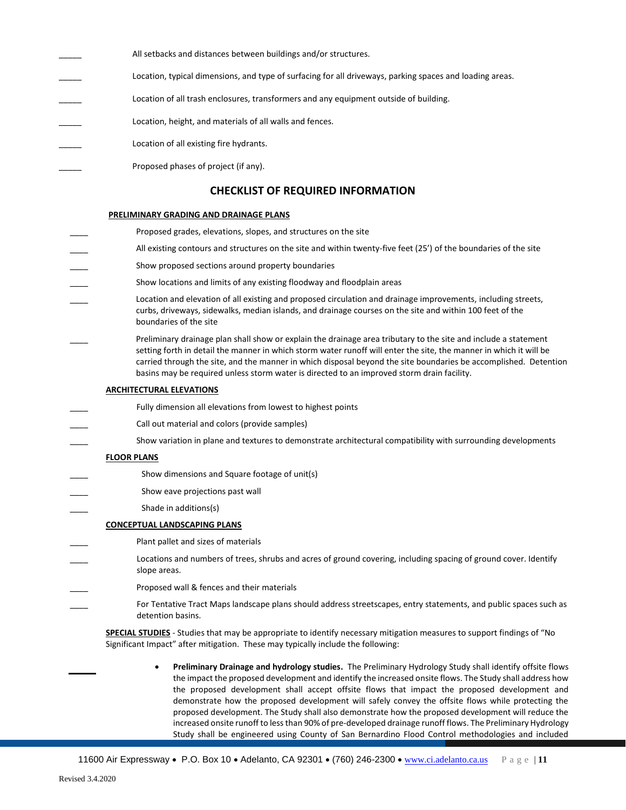All setbacks and distances between buildings and/or structures. Location, typical dimensions, and type of surfacing for all driveways, parking spaces and loading areas. Location of all trash enclosures, transformers and any equipment outside of building. Location, height, and materials of all walls and fences. Location of all existing fire hydrants. Proposed phases of project (if any). **CHECKLIST OF REQUIRED INFORMATION**

#### **PRELIMINARY GRADING AND DRAINAGE PLANS**

- Proposed grades, elevations, slopes, and structures on the site All existing contours and structures on the site and within twenty-five feet (25') of the boundaries of the site Show proposed sections around property boundaries Show locations and limits of any existing floodway and floodplain areas Location and elevation of all existing and proposed circulation and drainage improvements, including streets, curbs, driveways, sidewalks, median islands, and drainage courses on the site and within 100 feet of the boundaries of the site Preliminary drainage plan shall show or explain the drainage area tributary to the site and include a statement setting forth in detail the manner in which storm water runoff will enter the site, the manner in which it will be carried through the site, and the manner in which disposal beyond the site boundaries be accomplished. Detention basins may be required unless storm water is directed to an improved storm drain facility. **ARCHITECTURAL ELEVATIONS** Fully dimension all elevations from lowest to highest points Call out material and colors (provide samples) Show variation in plane and textures to demonstrate architectural compatibility with surrounding developments **FLOOR PLANS** Show dimensions and Square footage of unit(s) Show eave projections past wall Shade in additions(s) **CONCEPTUAL LANDSCAPING PLANS** Plant pallet and sizes of materials Locations and numbers of trees, shrubs and acres of ground covering, including spacing of ground cover. Identify slope areas. Proposed wall & fences and their materials For Tentative Tract Maps landscape plans should address streetscapes, entry statements, and public spaces such as detention basins. **SPECIAL STUDIES** - Studies that may be appropriate to identify necessary mitigation measures to support findings of "No Significant Impact" after mitigation. These may typically include the following:
	- **Preliminary Drainage and hydrology studies.** The Preliminary Hydrology Study shall identify offsite flows the impact the proposed development and identify the increased onsite flows. The Study shall address how the proposed development shall accept offsite flows that impact the proposed development and demonstrate how the proposed development will safely convey the offsite flows while protecting the proposed development. The Study shall also demonstrate how the proposed development will reduce the increased onsite runoff to less than 90% of pre-developed drainage runoff flows. The Preliminary Hydrology Study shall be engineered using County of San Bernardino Flood Control methodologies and included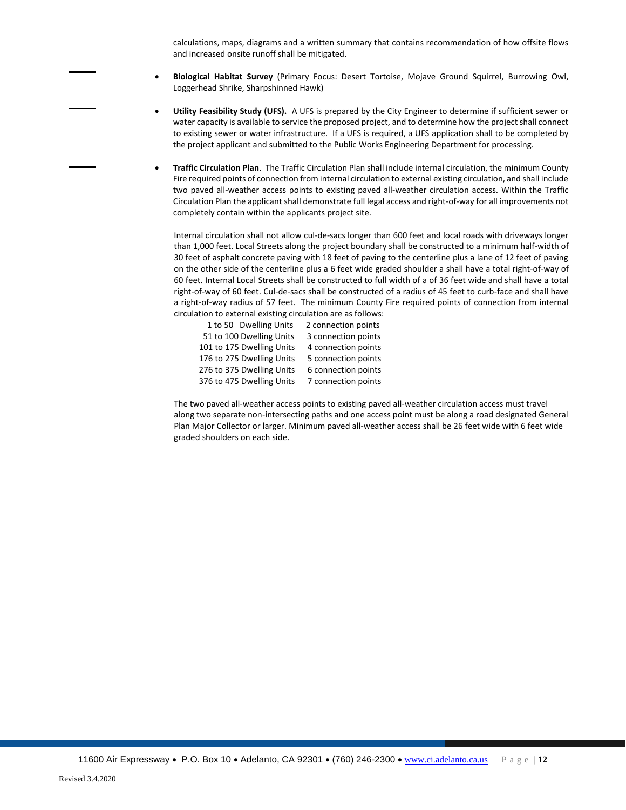calculations, maps, diagrams and a written summary that contains recommendation of how offsite flows and increased onsite runoff shall be mitigated.

- **Biological Habitat Survey** (Primary Focus: Desert Tortoise, Mojave Ground Squirrel, Burrowing Owl, Loggerhead Shrike, Sharpshinned Hawk)
- **Utility Feasibility Study (UFS).** A UFS is prepared by the City Engineer to determine if sufficient sewer or water capacity is available to service the proposed project, and to determine how the project shall connect to existing sewer or water infrastructure. If a UFS is required, a UFS application shall to be completed by the project applicant and submitted to the Public Works Engineering Department for processing.
- **Traffic Circulation Plan**. The Traffic Circulation Plan shall include internal circulation, the minimum County Fire required points of connection from internal circulation to external existing circulation, and shall include two paved all-weather access points to existing paved all-weather circulation access. Within the Traffic Circulation Plan the applicant shall demonstrate full legal access and right-of-way for all improvements not completely contain within the applicants project site.

Internal circulation shall not allow cul-de-sacs longer than 600 feet and local roads with driveways longer than 1,000 feet. Local Streets along the project boundary shall be constructed to a minimum half-width of 30 feet of asphalt concrete paving with 18 feet of paving to the centerline plus a lane of 12 feet of paving on the other side of the centerline plus a 6 feet wide graded shoulder a shall have a total right-of-way of 60 feet. Internal Local Streets shall be constructed to full width of a of 36 feet wide and shall have a total right-of-way of 60 feet. Cul-de-sacs shall be constructed of a radius of 45 feet to curb-face and shall have a right-of-way radius of 57 feet. The minimum County Fire required points of connection from internal circulation to external existing circulation are as follows:

| 1 to 50 Dwelling Units    | 2 connection points |
|---------------------------|---------------------|
| 51 to 100 Dwelling Units  | 3 connection points |
| 101 to 175 Dwelling Units | 4 connection points |
| 176 to 275 Dwelling Units | 5 connection points |
| 276 to 375 Dwelling Units | 6 connection points |
| 376 to 475 Dwelling Units | 7 connection points |

The two paved all-weather access points to existing paved all-weather circulation access must travel along two separate non-intersecting paths and one access point must be along a road designated General Plan Major Collector or larger. Minimum paved all-weather access shall be 26 feet wide with 6 feet wide graded shoulders on each side.